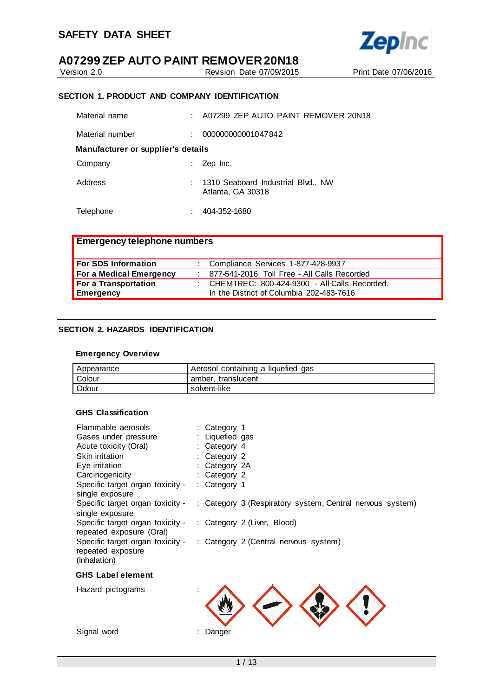

Version 2.0 Revision Date 07/09/2015 Print Date 07/06/2016

## **SECTION 1. PRODUCT AND COMPANY IDENTIFICATION**

| Material name                      | A07299 ZEP AUTO PAINT REMOVER 20N18                       |
|------------------------------------|-----------------------------------------------------------|
| Material number                    | 000000000001047842                                        |
| Manufacturer or supplier's details |                                                           |
| Company                            | Zep Inc.                                                  |
| Address                            | : 1310 Seaboard Industrial Blvd., NW<br>Atlanta, GA 30318 |
| Telephone                          | 404-352-1680                                              |

| <b>Emergency telephone numbers</b> |  |                                                |  |
|------------------------------------|--|------------------------------------------------|--|
| For SDS Information                |  | : Compliance Services 1-877-428-9937           |  |
| For a Medical Emergency            |  | : 877-541-2016 Toll Free - All Calls Recorded  |  |
| For a Transportation               |  | : CHEMTREC: 800-424-9300 - All Calls Recorded. |  |
| <b>Emergency</b>                   |  | In the District of Columbia 202-483-7616       |  |

#### **SECTION 2. HAZARDS IDENTIFICATION**

#### **Emergency Overview**

| Appearance | Aerosol containing a liquefied gas |
|------------|------------------------------------|
| Colour     | amber, translucent                 |
| Odour      | solvent-like                       |

#### **GHS Classification**

| Flammable aerosols               | : Category 1    |                                                           |
|----------------------------------|-----------------|-----------------------------------------------------------|
| Gases under pressure             | : Liquefied gas |                                                           |
| Acute toxicity (Oral)            | : Category 4    |                                                           |
| Skin irritation                  | : Category 2    |                                                           |
| Eye irritation                   | : Category $2A$ |                                                           |
| Carcinogenicity                  | : Category 2    |                                                           |
| Specific target organ toxicity - | : Category 1    |                                                           |
| single exposure                  |                 |                                                           |
| Specific target organ toxicity - |                 | : Category 3 (Respiratory system, Central nervous system) |
| single exposure                  |                 |                                                           |
| Specific target organ toxicity - |                 | : Category 2 (Liver, Blood)                               |
| repeated exposure (Oral)         |                 |                                                           |
| Specific target organ toxicity - |                 | : Category 2 (Central nervous system)                     |
| repeated exposure                |                 |                                                           |
| (Inhalation)                     |                 |                                                           |
|                                  |                 |                                                           |

## **GHS Label element**

Hazard pictograms :

Signal word : Danger

1 / 13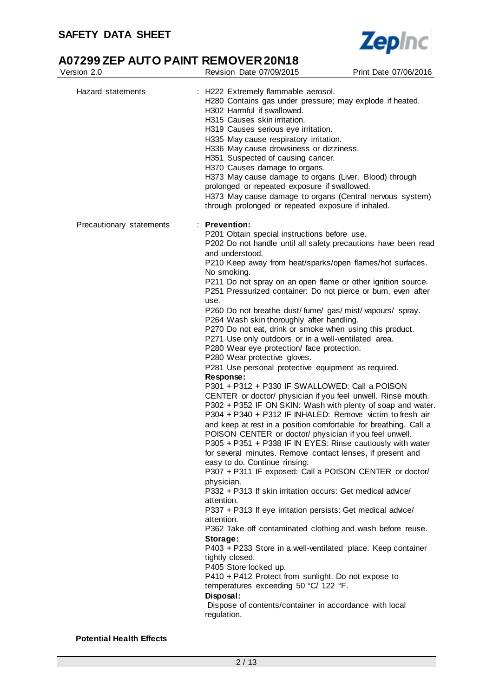

# **A07299 ZEP AUTO PAINT REMOVER 20N18**<br>Version 2.0 Revision Date 07/09/2015

| Version 2.0              | Revision Date 07/09/2015                                                                                                                                                                                                                                                                                                                                                                                                                                                                                                                                                                                                                                                                                                                                                                                                                                                                                                                                                                                                                                                                                                                                                                                                                                                                                                                                                                                                                                                                                                                                                                                                                                                                                                                                                                                                                                                                                     | Print Date 07/06/2016 |  |  |  |
|--------------------------|--------------------------------------------------------------------------------------------------------------------------------------------------------------------------------------------------------------------------------------------------------------------------------------------------------------------------------------------------------------------------------------------------------------------------------------------------------------------------------------------------------------------------------------------------------------------------------------------------------------------------------------------------------------------------------------------------------------------------------------------------------------------------------------------------------------------------------------------------------------------------------------------------------------------------------------------------------------------------------------------------------------------------------------------------------------------------------------------------------------------------------------------------------------------------------------------------------------------------------------------------------------------------------------------------------------------------------------------------------------------------------------------------------------------------------------------------------------------------------------------------------------------------------------------------------------------------------------------------------------------------------------------------------------------------------------------------------------------------------------------------------------------------------------------------------------------------------------------------------------------------------------------------------------|-----------------------|--|--|--|
| Hazard statements        | : H222 Extremely flammable aerosol.<br>H280 Contains gas under pressure; may explode if heated.<br>H302 Harmful if swallowed.<br>H315 Causes skin irritation.<br>H319 Causes serious eye irritation.<br>H335 May cause respiratory irritation.<br>H336 May cause drowsiness or dizziness.<br>H351 Suspected of causing cancer.<br>H370 Causes damage to organs.<br>H373 May cause damage to organs (Liver, Blood) through<br>prolonged or repeated exposure if swallowed.<br>H373 May cause damage to organs (Central nervous system)<br>through prolonged or repeated exposure if inhaled.                                                                                                                                                                                                                                                                                                                                                                                                                                                                                                                                                                                                                                                                                                                                                                                                                                                                                                                                                                                                                                                                                                                                                                                                                                                                                                                  |                       |  |  |  |
| Precautionary statements | $:$ Prevention:<br>P201 Obtain special instructions before use.<br>P202 Do not handle until all safety precautions have been read<br>and understood.<br>P210 Keep away from heat/sparks/open flames/hot surfaces.<br>No smoking.<br>P211 Do not spray on an open flame or other ignition source.<br>P251 Pressurized container: Do not pierce or burn, even after<br>use.<br>P260 Do not breathe dust/fume/gas/mist/vapours/spray.<br>P264 Wash skin thoroughly after handling.<br>P270 Do not eat, drink or smoke when using this product.<br>P271 Use only outdoors or in a well-ventilated area.<br>P280 Wear eye protection/ face protection.<br>P280 Wear protective gloves.<br>P281 Use personal protective equipment as required.<br>Response:<br>P301 + P312 + P330 IF SWALLOWED: Call a POISON<br>CENTER or doctor/ physician if you feel unwell. Rinse mouth.<br>P302 + P352 IF ON SKIN: Wash with plenty of soap and water.<br>P304 + P340 + P312 IF INHALED: Remove victim to fresh air<br>and keep at rest in a position comfortable for breathing. Call a<br>POISON CENTER or doctor/ physician if you feel unwell.<br>P305 + P351 + P338 IF IN EYES: Rinse cautiously with water<br>for several minutes. Remove contact lenses, if present and<br>easy to do. Continue rinsing.<br>P307 + P311 IF exposed: Call a POISON CENTER or doctor/<br>physician.<br>P332 + P313 If skin irritation occurs: Get medical advice/<br>attention.<br>P337 + P313 If eye irritation persists: Get medical advice/<br>attention.<br>P362 Take off contaminated clothing and wash before reuse.<br>Storage:<br>P403 + P233 Store in a well-ventilated place. Keep container<br>tightly closed.<br>P405 Store locked up.<br>P410 + P412 Protect from sunlight. Do not expose to<br>temperatures exceeding 50 °C/ 122 °F.<br>Disposal:<br>Dispose of contents/container in accordance with local<br>regulation. |                       |  |  |  |

**Potential Health Effects**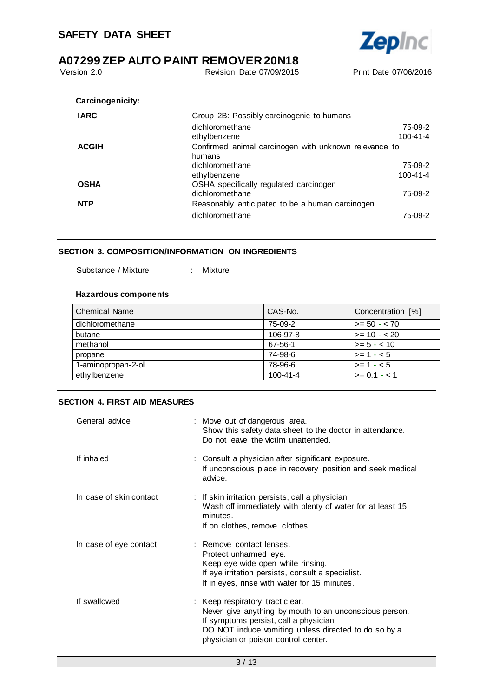Version 2.0 Revision Date 07/09/2015 Print Date 07/06/2016 **Carcinogenicity: IARC** Group 2B: Possibly carcinogenic to humans dichloromethane 75-09-2 ethylbenzene 100-41-4 **ACGIH** Confirmed animal carcinogen with unknown relevance to

**Zepinc** 

|            | humans                                          |                |
|------------|-------------------------------------------------|----------------|
|            | dichloromethane                                 | 75-09-2        |
|            | ethylbenzene                                    | $100 - 41 - 4$ |
| OSHA       | OSHA specifically regulated carcinogen          |                |
|            | dichloromethane                                 | 75-09-2        |
| <b>NTP</b> | Reasonably anticipated to be a human carcinogen |                |
|            | dichloromethane                                 | 75-09-2        |

#### **SECTION 3. COMPOSITION/INFORMATION ON INGREDIENTS**

Substance / Mixture : Mixture

#### **Hazardous components**

| <b>Chemical Name</b> | CAS-No.        | Concentration [%] |
|----------------------|----------------|-------------------|
| dichloromethane      | 75-09-2        | $>= 50 - 70$      |
| butane               | 106-97-8       | $>= 10 - 20$      |
| methanol             | 67-56-1        | $>= 5 - < 10$     |
| propane              | 74-98-6        | $>= 1 - 5$        |
| 1-aminopropan-2-ol   | 78-96-6        | $>= 1 - 5$        |
| ethylbenzene         | $100 - 41 - 4$ | $>= 0.1 - 1.1$    |

#### **SECTION 4. FIRST AID MEASURES**

| General advice          | : Move out of dangerous area.<br>Show this safety data sheet to the doctor in attendance.<br>Do not leave the victim unattended.                                                                                                   |
|-------------------------|------------------------------------------------------------------------------------------------------------------------------------------------------------------------------------------------------------------------------------|
| If inhaled              | : Consult a physician after significant exposure.<br>If unconscious place in recovery position and seek medical<br>advice.                                                                                                         |
| In case of skin contact | : If skin irritation persists, call a physician.<br>Wash off immediately with plenty of water for at least 15<br>minutes.<br>If on clothes, remove clothes.                                                                        |
| In case of eye contact  | : Remove contact lenses.<br>Protect unharmed eye.<br>Keep eye wide open while rinsing.<br>If eye irritation persists, consult a specialist.<br>If in eyes, rinse with water for 15 minutes.                                        |
| If swallowed            | : Keep respiratory tract clear.<br>Never give anything by mouth to an unconscious person.<br>If symptoms persist, call a physician.<br>DO NOT induce vomiting unless directed to do so by a<br>physician or poison control center. |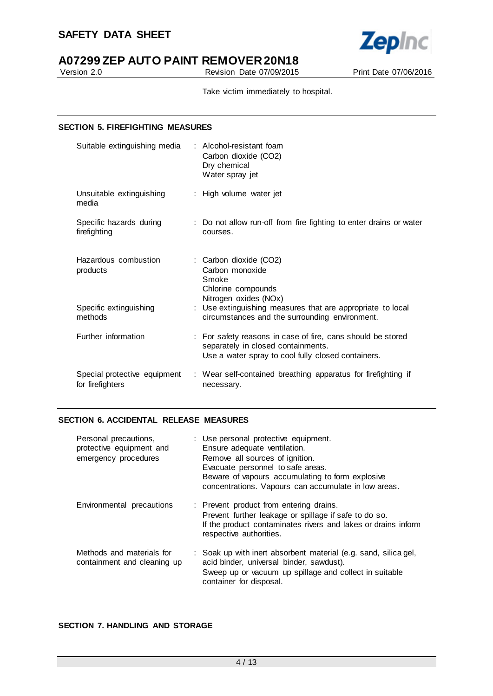

Version 2.0 Revision Date 07/09/2015 Print Date 07/06/2016

Take victim immediately to hospital.

#### **SECTION 5. FIREFIGHTING MEASURES**

| Suitable extinguishing media                     | : Alcohol-resistant foam<br>Carbon dioxide (CO2)<br>Dry chemical<br>Water spray jet                                                                     |
|--------------------------------------------------|---------------------------------------------------------------------------------------------------------------------------------------------------------|
| Unsuitable extinguishing<br>media                | : High volume water jet                                                                                                                                 |
| Specific hazards during<br>firefighting          | : Do not allow run-off from fire fighting to enter drains or water<br>courses.                                                                          |
| Hazardous combustion<br>products                 | : Carbon dioxide (CO2)<br>Carbon monoxide<br>Smoke<br>Chlorine compounds<br>Nitrogen oxides (NOx)                                                       |
| Specific extinguishing<br>methods                | : Use extinguishing measures that are appropriate to local<br>circumstances and the surrounding environment.                                            |
| Further information                              | : For safety reasons in case of fire, cans should be stored<br>separately in closed containments.<br>Use a water spray to cool fully closed containers. |
| Special protective equipment<br>for firefighters | : Wear self-contained breathing apparatus for firefighting if<br>necessary.                                                                             |

#### **SECTION 6. ACCIDENTAL RELEASE MEASURES**

| Personal precautions,<br>protective equipment and<br>emergency procedures | : Use personal protective equipment.<br>Ensure adequate ventilation.<br>Remove all sources of ignition.<br>Evacuate personnel to safe areas.<br>Beware of vapours accumulating to form explosive<br>concentrations. Vapours can accumulate in low areas. |
|---------------------------------------------------------------------------|----------------------------------------------------------------------------------------------------------------------------------------------------------------------------------------------------------------------------------------------------------|
| Environmental precautions                                                 | : Prevent product from entering drains.<br>Prevent further leakage or spillage if safe to do so.<br>If the product contaminates rivers and lakes or drains inform<br>respective authorities.                                                             |
| Methods and materials for<br>containment and cleaning up                  | : Soak up with inert absorbent material (e.g. sand, silica gel,<br>acid binder, universal binder, sawdust).<br>Sweep up or vacuum up spillage and collect in suitable<br>container for disposal.                                                         |

## **SECTION 7. HANDLING AND STORAGE**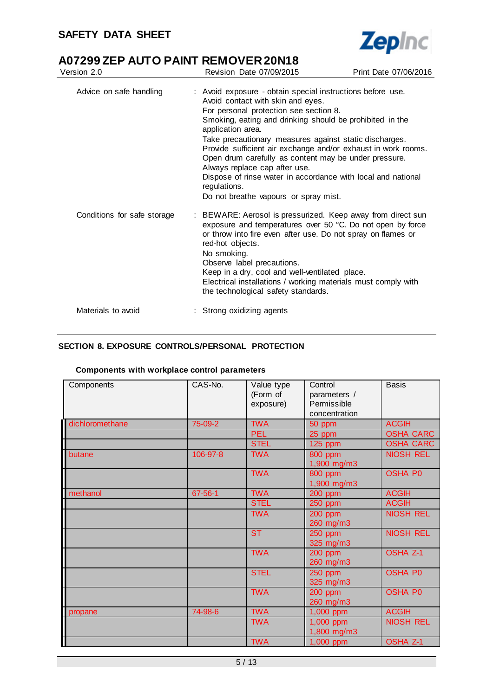

# **A07299 ZEP AUTO PAINT REMOVER 20N18**<br>Version 2.0 Revision Date 07/09/2015

| Version 2.0                 | Revision Date 07/09/2015                                                                                                                                                                                                                                                                                                                                                                                                                                                                                                                                                 | Print Date 07/06/2016 |
|-----------------------------|--------------------------------------------------------------------------------------------------------------------------------------------------------------------------------------------------------------------------------------------------------------------------------------------------------------------------------------------------------------------------------------------------------------------------------------------------------------------------------------------------------------------------------------------------------------------------|-----------------------|
| Advice on safe handling     | : Avoid exposure - obtain special instructions before use.<br>Avoid contact with skin and eyes.<br>For personal protection see section 8.<br>Smoking, eating and drinking should be prohibited in the<br>application area.<br>Take precautionary measures against static discharges.<br>Provide sufficient air exchange and/or exhaust in work rooms.<br>Open drum carefully as content may be under pressure.<br>Always replace cap after use.<br>Dispose of rinse water in accordance with local and national<br>regulations.<br>Do not breathe vapours or spray mist. |                       |
| Conditions for safe storage | : BEWARE: Aerosol is pressurized. Keep away from direct sun<br>exposure and temperatures over 50 °C. Do not open by force<br>or throw into fire even after use. Do not spray on flames or<br>red-hot objects.<br>No smoking.<br>Observe label precautions.<br>Keep in a dry, cool and well-ventilated place.<br>Electrical installations / working materials must comply with<br>the technological safety standards.                                                                                                                                                     |                       |
| Materials to avoid          | : Strong oxidizing agents                                                                                                                                                                                                                                                                                                                                                                                                                                                                                                                                                |                       |

## **SECTION 8. EXPOSURE CONTROLS/PERSONAL PROTECTION**

### **Components with workplace control parameters**

| Components      | CAS-No.  | Value type<br>(Form of<br>exposure) | Control<br>parameters /<br>Permissible<br>concentration | <b>Basis</b>     |
|-----------------|----------|-------------------------------------|---------------------------------------------------------|------------------|
| dichloromethane | 75-09-2  | <b>TWA</b>                          | 50 ppm                                                  | <b>ACGIH</b>     |
|                 |          | <b>PEL</b>                          | 25 ppm                                                  | <b>OSHA CARC</b> |
|                 |          | <b>STEL</b>                         | 125 ppm                                                 | <b>OSHA CARC</b> |
| butane          | 106-97-8 | <b>TWA</b>                          | 800 ppm<br>1,900 mg/m3                                  | <b>NIOSH REL</b> |
|                 |          | <b>TWA</b>                          | 800 ppm<br>1,900 mg/m3                                  | <b>OSHA P0</b>   |
| methanol        | 67-56-1  | <b>TWA</b>                          | <b>200 ppm</b>                                          | <b>ACGIH</b>     |
|                 |          | <b>STEL</b>                         | <b>250 ppm</b>                                          | <b>ACGIH</b>     |
|                 |          | <b>TWA</b>                          | 200 ppm<br>260 mg/m3                                    | <b>NIOSH REL</b> |
|                 |          | <b>ST</b>                           | 250 ppm<br>325 mg/m3                                    | <b>NIOSH REL</b> |
|                 |          | <b>TWA</b>                          | 200 ppm<br>260 mg/m3                                    | <b>OSHA Z-1</b>  |
|                 |          | <b>STEL</b>                         | <b>250 ppm</b><br>325 mg/m3                             | <b>OSHA P0</b>   |
|                 |          | <b>TWA</b>                          | 200 ppm<br>260 mg/m3                                    | <b>OSHA PO</b>   |
| propane         | 74-98-6  | <b>TWA</b>                          | 1,000 ppm                                               | <b>ACGIH</b>     |
|                 |          | <b>TWA</b>                          | 1,000 ppm<br>1,800 mg/m3                                | <b>NIOSH REL</b> |
|                 |          | <b>TWA</b>                          | 1,000 ppm                                               | <b>OSHA Z-1</b>  |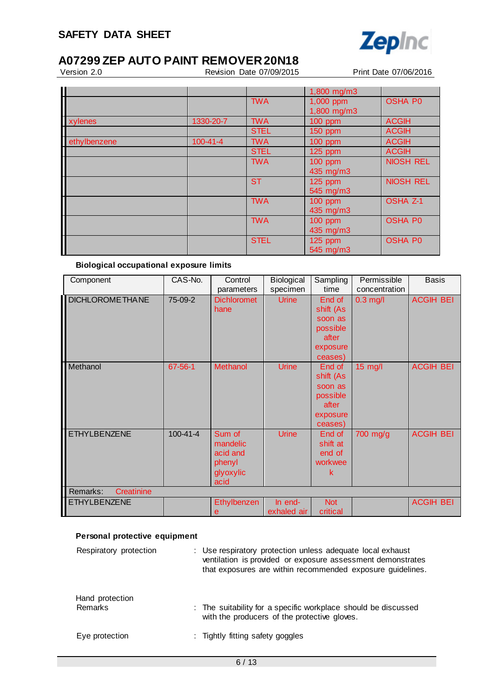

# **A07299 ZEP AUTO PAINT REMOVER 20N18**<br>**Revision Date 07/09/2015**

Revision Date 07/09/2015 Print Date 07/06/2016

|              |                |             | 1,800 mg/m3 |                  |
|--------------|----------------|-------------|-------------|------------------|
|              |                | <b>TWA</b>  | 1,000 ppm   | <b>OSHA P0</b>   |
|              |                |             | 1,800 mg/m3 |                  |
| xylenes      | 1330-20-7      | <b>TWA</b>  | 100 ppm     | <b>ACGIH</b>     |
|              |                | <b>STEL</b> | 150 ppm     | <b>ACGIH</b>     |
| ethylbenzene | $100 - 41 - 4$ | <b>TWA</b>  | $100$ ppm   | <b>ACGIH</b>     |
|              |                | <b>STEL</b> | $125$ ppm   | <b>ACGIH</b>     |
|              |                | <b>TWA</b>  | 100 ppm     | <b>NIOSH REL</b> |
|              |                |             | 435 mg/m3   |                  |
|              |                | <b>ST</b>   | 125 ppm     | <b>NIOSH REL</b> |
|              |                |             | 545 mg/m3   |                  |
|              |                | <b>TWA</b>  | 100 ppm     | <b>OSHA Z-1</b>  |
|              |                |             | 435 mg/m3   |                  |
|              |                | <b>TWA</b>  | $100$ ppm   | <b>OSHA P0</b>   |
|              |                |             | 435 mg/m3   |                  |
|              |                | <b>STEL</b> | 125 ppm     | <b>OSHA P0</b>   |
|              |                |             | 545 mg/m3   |                  |

## **Biological occupational exposure limits**

| Component               | CAS-No.        | Control            | Biological   | Sampling   | Permissible   | <b>Basis</b>     |
|-------------------------|----------------|--------------------|--------------|------------|---------------|------------------|
|                         |                | parameters         | specimen     | time       | concentration |                  |
| <b>DICHLOROME THANE</b> | 75-09-2        | <b>Dichloromet</b> | <b>Urine</b> | End of     | $0.3$ mg/l    | <b>ACGIH BEI</b> |
|                         |                | hane               |              | shift (As  |               |                  |
|                         |                |                    |              | soon as    |               |                  |
|                         |                |                    |              | possible   |               |                  |
|                         |                |                    |              | after      |               |                  |
|                         |                |                    |              | exposure   |               |                  |
|                         |                |                    |              | ceases)    |               |                  |
| Methanol                | 67-56-1        | <b>Methanol</b>    | <b>Urine</b> | End of     | $15$ mg/l     | <b>ACGIH BEI</b> |
|                         |                |                    |              | shift (As  |               |                  |
|                         |                |                    |              | soon as    |               |                  |
|                         |                |                    |              | possible   |               |                  |
|                         |                |                    |              | after      |               |                  |
|                         |                |                    |              | exposure   |               |                  |
|                         |                |                    |              | ceases)    |               |                  |
| <b>ETHYLBENZENE</b>     | $100 - 41 - 4$ | Sum of             | <b>Urine</b> | End of     | 700 mg/g      | <b>ACGIH BEI</b> |
|                         |                | mandelic           |              | shift at   |               |                  |
|                         |                | acid and           |              | end of     |               |                  |
|                         |                | phenyl             |              | workwee    |               |                  |
|                         |                | glyoxylic          |              | k          |               |                  |
|                         |                | acid               |              |            |               |                  |
| Creatinine<br>Remarks:  |                |                    |              |            |               |                  |
| <b>ETHYLBENZENE</b>     |                | <b>Ethylbenzen</b> | In end-      | <b>Not</b> |               | <b>ACGIH BEI</b> |
|                         |                | е                  | exhaled air  | critical   |               |                  |

## **Personal protective equipment**

| Respiratory protection     | : Use respiratory protection unless adequate local exhaust<br>ventilation is provided or exposure assessment demonstrates<br>that exposures are within recommended exposure guidelines. |
|----------------------------|-----------------------------------------------------------------------------------------------------------------------------------------------------------------------------------------|
| Hand protection<br>Remarks | : The suitability for a specific workplace should be discussed<br>with the producers of the protective gloves.                                                                          |
| Eye protection             | : Tightly fitting safety goggles                                                                                                                                                        |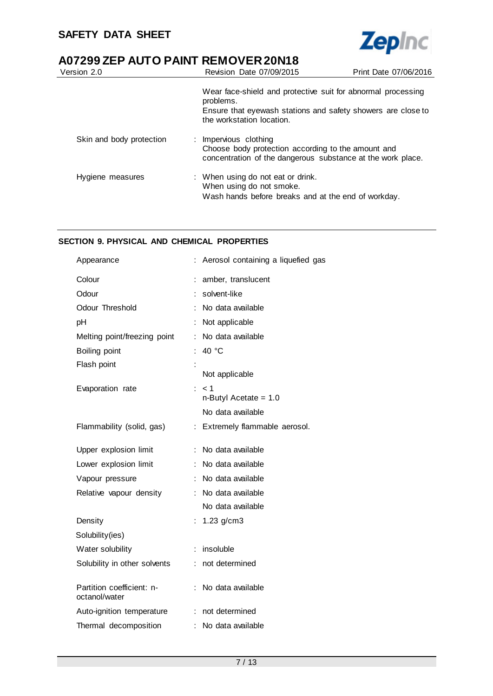

| Version 2.0              | Revision Date 07/09/2015                                                                                                                                               | Print Date 07/06/2016 |
|--------------------------|------------------------------------------------------------------------------------------------------------------------------------------------------------------------|-----------------------|
|                          | Wear face-shield and protective suit for abnormal processing<br>problems.<br>Ensure that eyewash stations and safety showers are close to<br>the workstation location. |                       |
| Skin and body protection | : Impervious clothing<br>Choose body protection according to the amount and<br>concentration of the dangerous substance at the work place.                             |                       |
| Hygiene measures         | : When using do not eat or drink.<br>When using do not smoke.<br>Wash hands before breaks and at the end of workday.                                                   |                       |

#### **SECTION 9. PHYSICAL AND CHEMICAL PROPERTIES**

| Appearance                                 |   | Aerosol containing a liquefied gas |
|--------------------------------------------|---|------------------------------------|
| Colour                                     |   | amber, translucent                 |
| Odour                                      |   | solvent-like                       |
| Odour Threshold                            |   | No data available                  |
| pH                                         |   | Not applicable                     |
| Melting point/freezing point               | ÷ | No data available                  |
| Boiling point                              |   | 40 °C                              |
| Flash point                                |   |                                    |
|                                            |   | Not applicable                     |
| Evaporation rate                           | ÷ | < 1<br>$n$ -Butyl Acetate = 1.0    |
|                                            |   | No data available                  |
| Flammability (solid, gas)                  |   | : Extremely flammable aerosol.     |
| Upper explosion limit                      |   | No data available                  |
| Lower explosion limit                      |   | No data available                  |
| Vapour pressure                            |   | No data available                  |
| Relative vapour density                    |   | : No data available                |
|                                            |   | No data available                  |
| Density                                    |   | $1.23$ g/cm3                       |
| Solubility(ies)                            |   |                                    |
| Water solubility                           |   | insoluble                          |
| Solubility in other solvents               |   | not determined                     |
| Partition coefficient: n-<br>octanol/water |   | No data available                  |
| Auto-ignition temperature                  |   | : not determined                   |
| Thermal decomposition                      |   | No data available                  |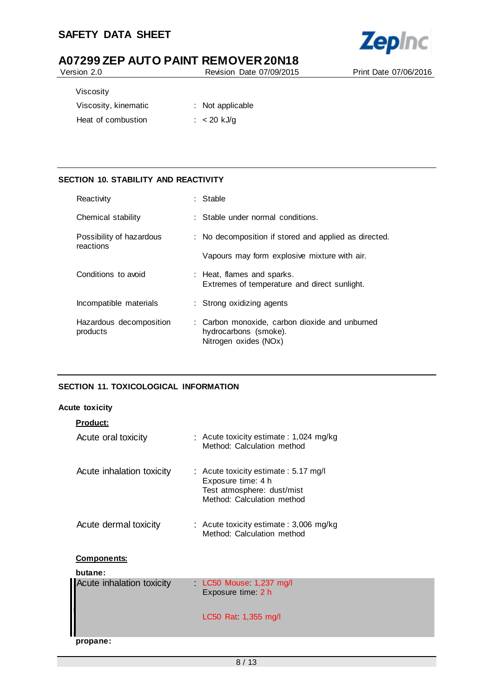## **SAFETY DATA SHEET**



# **A07299 ZEP AUTO PAINT REMOVER 20N18**<br>**Revision Date 07/09/2015**

Revision Date 07/09/2015 Print Date 07/06/2016

| Viscosity            |                  |
|----------------------|------------------|
| Viscosity, kinematic | : Not applicable |
| Heat of combustion   | $: < 20$ kJ/g    |

## **SECTION 10. STABILITY AND REACTIVITY**

| Reactivity                            | : Stable                                                                                         |
|---------------------------------------|--------------------------------------------------------------------------------------------------|
| Chemical stability                    | $\therefore$ Stable under normal conditions.                                                     |
| Possibility of hazardous<br>reactions | : No decomposition if stored and applied as directed.                                            |
|                                       | Vapours may form explosive mixture with air.                                                     |
| Conditions to avoid                   | : Heat, flames and sparks.<br>Extremes of temperature and direct sunlight.                       |
| Incompatible materials                | : Strong oxidizing agents                                                                        |
| Hazardous decomposition<br>products   | : Carbon monoxide, carbon dioxide and unburned<br>hydrocarbons (smoke).<br>Nitrogen oxides (NOx) |

## **SECTION 11. TOXICOLOGICAL INFORMATION**

#### **Acute toxicity**

| <b>Product:</b>           |                                                                                                                        |
|---------------------------|------------------------------------------------------------------------------------------------------------------------|
| Acute oral toxicity       | : Acute toxicity estimate : 1,024 mg/kg<br>Method: Calculation method                                                  |
| Acute inhalation toxicity | : Acute toxicity estimate: 5.17 mg/l<br>Exposure time: 4 h<br>Test atmosphere: dust/mist<br>Method: Calculation method |
| Acute dermal toxicity     | : Acute toxicity estimate : $3,006$ mg/kg<br>Method: Calculation method                                                |
| <b>Components:</b>        |                                                                                                                        |
| butane:                   |                                                                                                                        |
| Acute inhalation toxicity | LC50 Mouse 1,237 mg/l<br>Exposure time: 2 h                                                                            |
|                           | LC50 Rat 1,355 mg/l                                                                                                    |
| propane:                  |                                                                                                                        |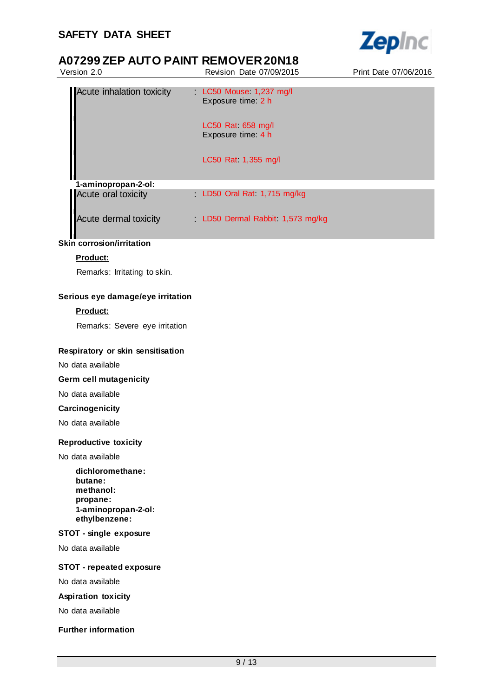

| Version 2.0                                                                                  | Revision Date 07/09/2015                                                                                      | Print Date 07/06/2016 |
|----------------------------------------------------------------------------------------------|---------------------------------------------------------------------------------------------------------------|-----------------------|
| Acute inhalation toxicity                                                                    | LC50 Mouse 1,237 mg/l<br>Exposure time: 2 h<br>LC50 Rat 658 mg/l<br>Exposure time: 4 h<br>LC50 Rat 1,355 mg/l |                       |
| 1-aminopropan-2-ol:                                                                          |                                                                                                               |                       |
| Acute oral toxicity                                                                          | LD50 Oral Rat 1,715 mg/kg                                                                                     |                       |
| Acute dermal toxicity                                                                        | LD50 Dermal Rabbit 1,573 mg/kg                                                                                |                       |
| <b>Skin corrosion/irritation</b>                                                             |                                                                                                               |                       |
| Product:                                                                                     |                                                                                                               |                       |
| Remarks: Irritating to skin.                                                                 |                                                                                                               |                       |
| Serious eye damage/eye irritation                                                            |                                                                                                               |                       |
| Product:                                                                                     |                                                                                                               |                       |
| Remarks: Severe eye irritation                                                               |                                                                                                               |                       |
| Respiratory or skin sensitisation                                                            |                                                                                                               |                       |
| No data available                                                                            |                                                                                                               |                       |
| Germ cell mutagenicity                                                                       |                                                                                                               |                       |
| No data available                                                                            |                                                                                                               |                       |
| Carcinogenicity                                                                              |                                                                                                               |                       |
| No data available                                                                            |                                                                                                               |                       |
| <b>Reproductive toxicity</b>                                                                 |                                                                                                               |                       |
| No data available                                                                            |                                                                                                               |                       |
| dichloromethane:<br>butane:<br>methanol:<br>propane:<br>1-aminopropan-2-ol:<br>ethylbenzene: |                                                                                                               |                       |
| STOT - single exposure                                                                       |                                                                                                               |                       |
| No data available                                                                            |                                                                                                               |                       |
| <b>STOT - repeated exposure</b>                                                              |                                                                                                               |                       |
| No data available                                                                            |                                                                                                               |                       |
| <b>Aspiration toxicity</b>                                                                   |                                                                                                               |                       |
| No data available                                                                            |                                                                                                               |                       |
| <b>Further information</b>                                                                   |                                                                                                               |                       |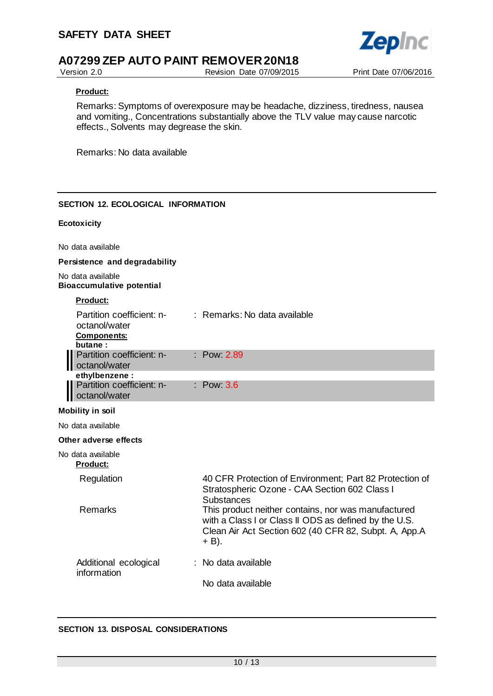

Version 2.0 Revision Date 07/09/2015 Print Date 07/06/2016

### **Product:**

Remarks: Symptoms of overexposure may be headache, dizziness, tiredness, nausea and vomiting., Concentrations substantially above the TLV value may cause narcotic effects., Solvents may degrease the skin.

Remarks: No data available

## **SECTION 12. ECOLOGICAL INFORMATION**

#### **Ecotoxicity**

No data available

#### **Persistence and degradability**

No data available **Bioaccumulative potential**

|--|

| Partition coefficient: n-<br>octanol/water<br><b>Components:</b><br>butane: | : Remarks: No data available                                                                                                  |
|-----------------------------------------------------------------------------|-------------------------------------------------------------------------------------------------------------------------------|
| Partition coefficient: n-<br>octanol/water                                  | : Pow 2.89                                                                                                                    |
| ethylbenzene:                                                               |                                                                                                                               |
| Partition coefficient: n-<br>octanol/water                                  | $\therefore$ Pow 3.6                                                                                                          |
| <b>Mobility in soil</b>                                                     |                                                                                                                               |
| No data available                                                           |                                                                                                                               |
| Other adverse effects                                                       |                                                                                                                               |
| No data available<br><b>Product:</b>                                        |                                                                                                                               |
| Regulation                                                                  | 40 CFR Protection of Environment; Part 82 Protection of<br>Stratospheric Ozone - CAA Section 602 Class I<br><b>Substances</b> |
| Remarks                                                                     | This product neither contains, nor was manufactured<br>with a Class I or Class II ODS as defined by the U.S.                  |

# Clean Air Act Section 602 (40 CFR 82, Subpt. A, App.A  $+$  B).

#### Additional ecological information : No data available No data available

## **SECTION 13. DISPOSAL CONSIDERATIONS**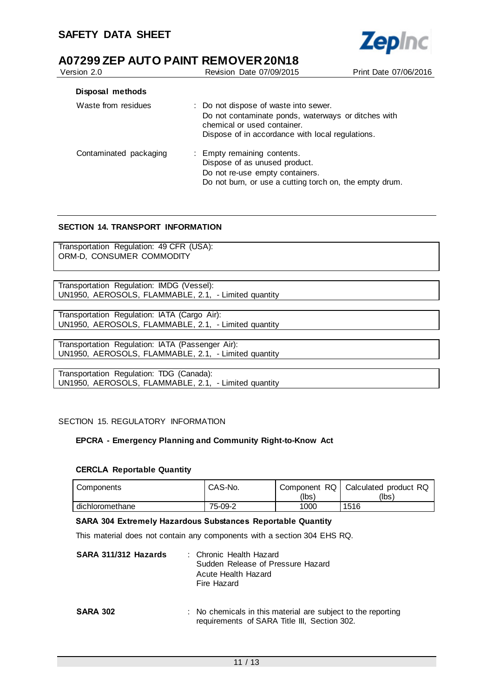| Version 2.0            | <b>Revision Date 07/09/2015</b>                                                                                                                                                 | Print Date 07/06/2016 |
|------------------------|---------------------------------------------------------------------------------------------------------------------------------------------------------------------------------|-----------------------|
| Disposal methods       |                                                                                                                                                                                 |                       |
| Waste from residues    | : Do not dispose of waste into sewer.<br>Do not contaminate ponds, waterways or ditches with<br>chemical or used container.<br>Dispose of in accordance with local regulations. |                       |
| Contaminated packaging | : Empty remaining contents.<br>Dispose of as unused product.<br>Do not re-use empty containers.<br>Do not burn, or use a cutting torch on, the empty drum.                      |                       |

**Zepinc** 

## **SECTION 14. TRANSPORT INFORMATION**

Transportation Regulation: 49 CFR (USA): ORM-D, CONSUMER COMMODITY

Transportation Regulation: IMDG (Vessel): UN1950, AEROSOLS, FLAMMABLE, 2.1, - Limited quantity

Transportation Regulation: IATA (Cargo Air): UN1950, AEROSOLS, FLAMMABLE, 2.1, - Limited quantity

Transportation Regulation: IATA (Passenger Air): UN1950, AEROSOLS, FLAMMABLE, 2.1, - Limited quantity

Transportation Regulation: TDG (Canada): UN1950, AEROSOLS, FLAMMABLE, 2.1, - Limited quantity

#### SECTION 15. REGULATORY INFORMATION

#### **EPCRA - Emergency Planning and Community Right-to-Know Act**

#### **CERCLA Reportable Quantity**

| Components      | CAS-No. | Component RQ  <br>(lbsˈ | Calculated product RQ<br>(lbs) |
|-----------------|---------|-------------------------|--------------------------------|
| dichloromethane | 75-09-2 | 1000                    | 1516                           |

#### **SARA 304 Extremely Hazardous Substances Reportable Quantity**

This material does not contain any components with a section 304 EHS RQ.

| SARA 311/312 Hazards | : Chronic Health Hazard<br>Sudden Release of Pressure Hazard<br>Acute Health Hazard<br>Fire Hazard           |
|----------------------|--------------------------------------------------------------------------------------------------------------|
| <b>SARA 302</b>      | : No chemicals in this material are subject to the reporting<br>requirements of SARA Title III, Section 302. |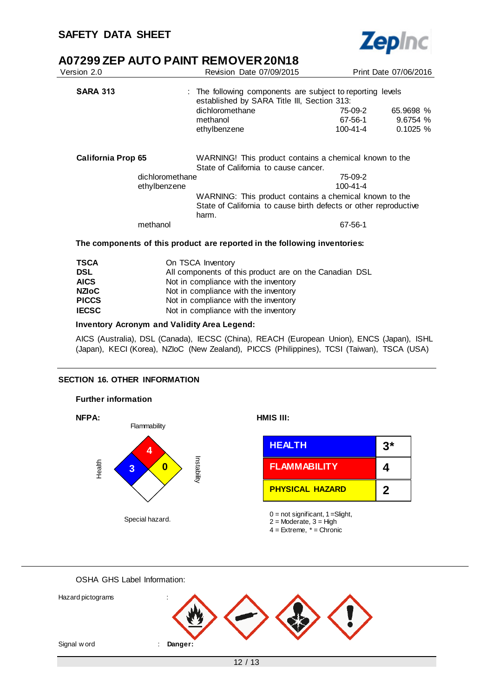

|                   |                                                                         | Print Date 07/06/2016                                                                                                                                                                                                                                                                                                                                                                                                                                                                                  |
|-------------------|-------------------------------------------------------------------------|--------------------------------------------------------------------------------------------------------------------------------------------------------------------------------------------------------------------------------------------------------------------------------------------------------------------------------------------------------------------------------------------------------------------------------------------------------------------------------------------------------|
|                   |                                                                         |                                                                                                                                                                                                                                                                                                                                                                                                                                                                                                        |
| dichloromethane   | 75-09-2                                                                 | 65.9698 %                                                                                                                                                                                                                                                                                                                                                                                                                                                                                              |
| ethylbenzene      | 100-41-4                                                                | 9.6754%<br>0.1025%                                                                                                                                                                                                                                                                                                                                                                                                                                                                                     |
|                   |                                                                         |                                                                                                                                                                                                                                                                                                                                                                                                                                                                                                        |
|                   |                                                                         |                                                                                                                                                                                                                                                                                                                                                                                                                                                                                                        |
|                   | 100-41-4                                                                |                                                                                                                                                                                                                                                                                                                                                                                                                                                                                                        |
| harm.             |                                                                         |                                                                                                                                                                                                                                                                                                                                                                                                                                                                                                        |
|                   | 67-56-1                                                                 |                                                                                                                                                                                                                                                                                                                                                                                                                                                                                                        |
|                   |                                                                         |                                                                                                                                                                                                                                                                                                                                                                                                                                                                                                        |
| On TSCA Inventory |                                                                         |                                                                                                                                                                                                                                                                                                                                                                                                                                                                                                        |
|                   | Revision Date 07/09/2015<br>methanol<br>dichloromethane<br>ethylbenzene | : The following components are subject to reporting levels<br>established by SARA Title III, Section 313:<br>67-56-1<br>WARNING! This product contains a chemical known to the<br>State of California to cause cancer.<br>75-09-2<br>WARNING: This product contains a chemical known to the<br>State of California to cause birth defects or other reproductive<br>The components of this product are reported in the following inventories:<br>All components of this product are on the Canadian DSL |

| ◡◡∟          | All components of this product are on the Canadian |
|--------------|----------------------------------------------------|
| <b>AICS</b>  | Not in compliance with the inventory               |
| <b>NZIoC</b> | Not in compliance with the inventory               |
| <b>PICCS</b> | Not in compliance with the inventory               |
| <b>IECSC</b> | Not in compliance with the inventory               |

#### **Inventory Acronym and Validity Area Legend:**

AICS (Australia), DSL (Canada), IECSC (China), REACH (European Union), ENCS (Japan), ISHL (Japan), KECI (Korea), NZIoC (New Zealand), PICCS (Philippines), TCSI (Taiwan), TSCA (USA)

#### **SECTION 16. OTHER INFORMATION**



#### OSHA GHS Label Information: